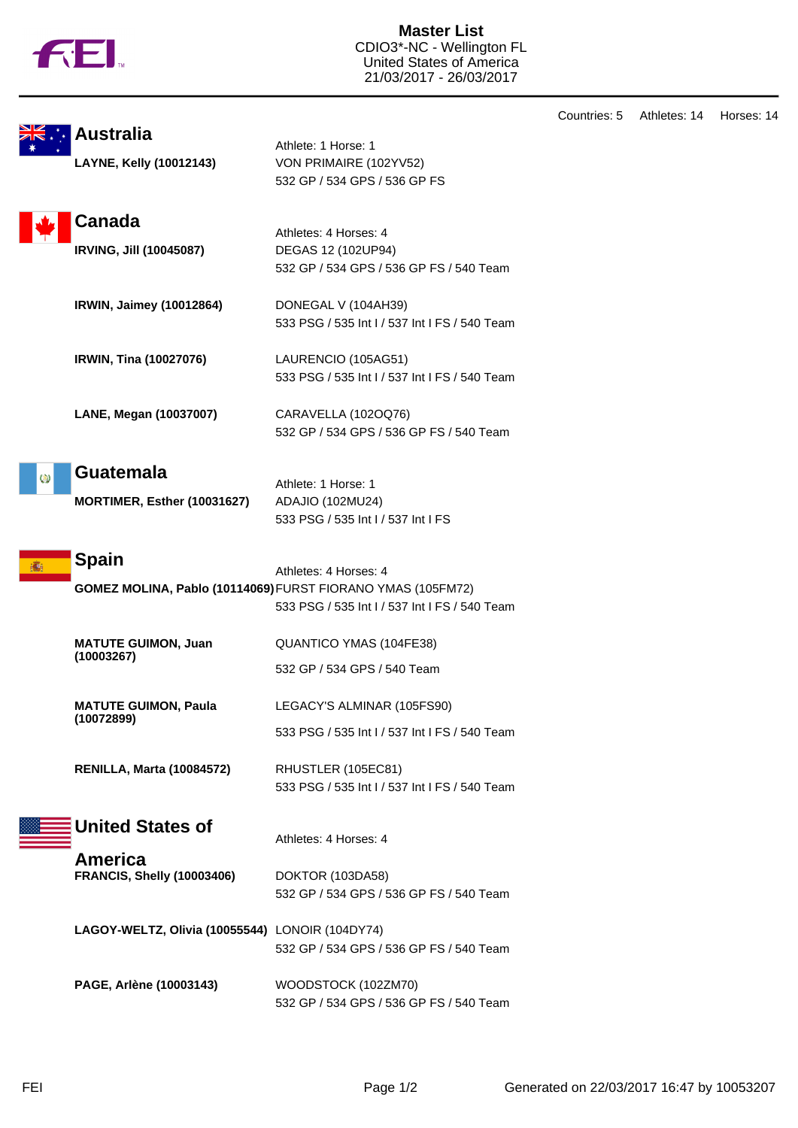

**Master List** CDIO3\*-NC - Wellington FL United States of America 21/03/2017 - 26/03/2017

|    |                                                 |                                                                                                                                       | Countries: 5 |
|----|-------------------------------------------------|---------------------------------------------------------------------------------------------------------------------------------------|--------------|
|    | <b>Australia</b><br>LAYNE, Kelly (10012143)     | Athlete: 1 Horse: 1<br>VON PRIMAIRE (102YV52)<br>532 GP / 534 GPS / 536 GP FS                                                         |              |
|    | <b>Canada</b><br>IRVING, Jill (10045087)        | Athletes: 4 Horses: 4<br>DEGAS 12 (102UP94)<br>532 GP / 534 GPS / 536 GP FS / 540 Team                                                |              |
|    | IRWIN, Jaimey (10012864)                        | DONEGAL V (104AH39)<br>533 PSG / 535 Int I / 537 Int I FS / 540 Team                                                                  |              |
|    | IRWIN, Tina (10027076)                          | LAURENCIO (105AG51)<br>533 PSG / 535 Int I / 537 Int I FS / 540 Team                                                                  |              |
|    | LANE, Megan (10037007)                          | CARAVELLA (102OQ76)<br>532 GP / 534 GPS / 536 GP FS / 540 Team                                                                        |              |
| Q) | <b>Guatemala</b><br>MORTIMER, Esther (10031627) | Athlete: 1 Horse: 1<br>ADAJIO (102MU24)<br>533 PSG / 535 Int I / 537 Int I FS                                                         |              |
|    | <b>Spain</b>                                    | Athletes: 4 Horses: 4<br>GOMEZ MOLINA, Pablo (10114069) FURST FIORANO YMAS (105FM72)<br>533 PSG / 535 Int I / 537 Int I FS / 540 Team |              |
|    | <b>MATUTE GUIMON, Juan</b><br>(10003267)        | QUANTICO YMAS (104FE38)<br>532 GP / 534 GPS / 540 Team                                                                                |              |
|    | <b>MATUTE GUIMON, Paula</b><br>(10072899)       | LEGACY'S ALMINAR (105FS90)<br>533 PSG / 535 Int I / 537 Int I FS / 540 Team                                                           |              |
|    | <b>RENILLA, Marta (10084572)</b>                | RHUSTLER (105EC81)<br>533 PSG / 535 Int I / 537 Int I FS / 540 Team                                                                   |              |
|    | <b>United States of</b><br><b>America</b>       | Athletes: 4 Horses: 4                                                                                                                 |              |
|    | <b>FRANCIS, Shelly (10003406)</b>               | DOKTOR (103DA58)<br>532 GP / 534 GPS / 536 GP FS / 540 Team                                                                           |              |
|    | LAGOY-WELTZ, Olivia (10055544) LONOIR (104DY74) | 532 GP / 534 GPS / 536 GP FS / 540 Team                                                                                               |              |
|    | PAGE, Arlène (10003143)                         | WOODSTOCK (102ZM70)<br>532 GP / 534 GPS / 536 GP FS / 540 Team                                                                        |              |

Athletes: 14 Horses: 14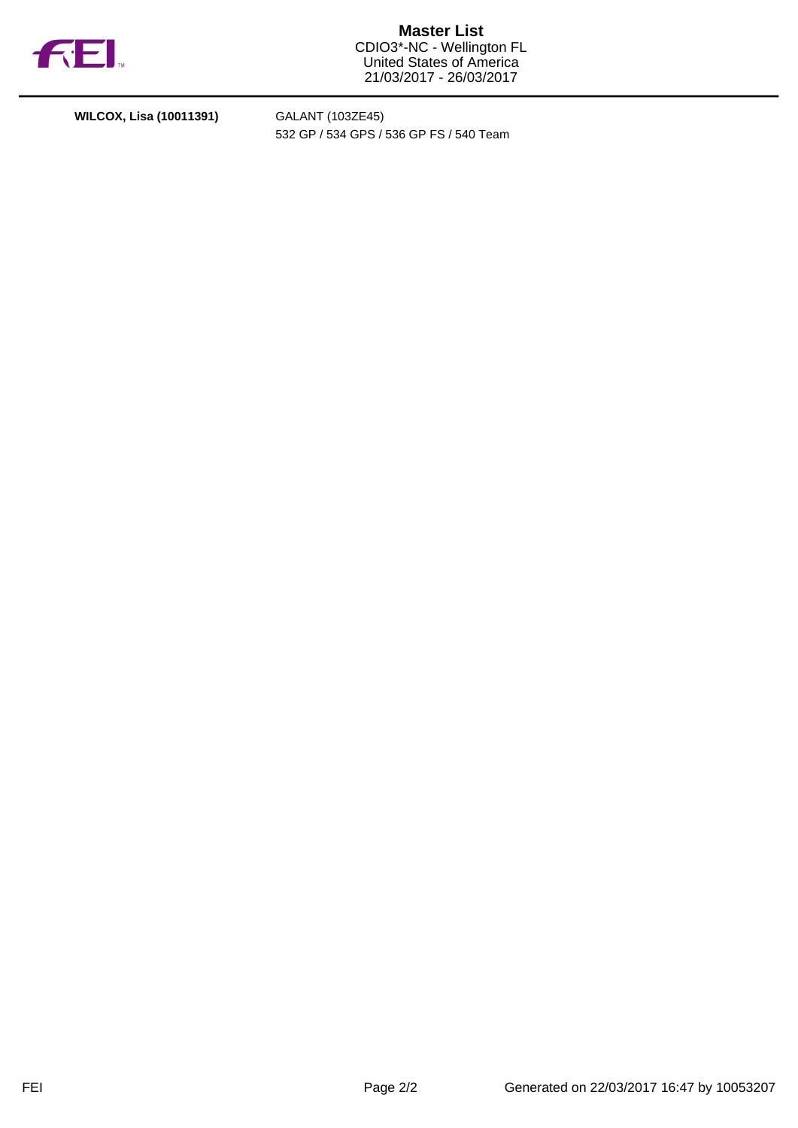

**Master List** CDIO3\*-NC - Wellington FL United States of America 21/03/2017 - 26/03/2017

**WILCOX, Lisa (10011391)** GALANT (103ZE45)

532 GP / 534 GPS / 536 GP FS / 540 Team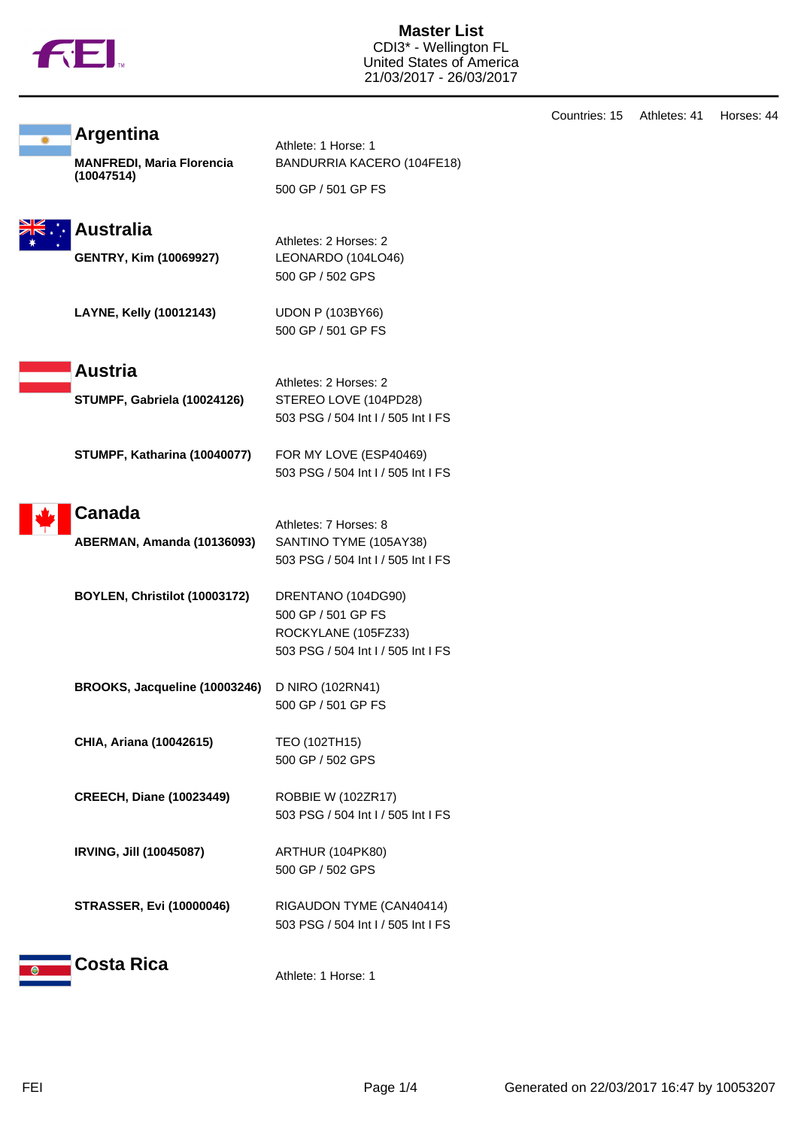

**Master List** CDI3\* - Wellington FL United States of America 21/03/2017 - 26/03/2017

|                                                                               |                                                                                                                | Countries: 15 | Athletes: 41 | Horses: 44 |
|-------------------------------------------------------------------------------|----------------------------------------------------------------------------------------------------------------|---------------|--------------|------------|
| <b>Argentina</b><br><b>MANFREDI, Maria Florencia</b><br>(10047514)            | Athlete: 1 Horse: 1<br>BANDURRIA KACERO (104FE18)<br>500 GP / 501 GP FS                                        |               |              |            |
| <b>Australia</b><br><b>GENTRY, Kim (10069927)</b>                             | Athletes: 2 Horses: 2<br>LEONARDO (104LO46)<br>500 GP / 502 GPS                                                |               |              |            |
| LAYNE, Kelly (10012143)                                                       | <b>UDON P (103BY66)</b><br>500 GP / 501 GP FS                                                                  |               |              |            |
| <b>Austria</b><br>STUMPF, Gabriela (10024126)<br>STUMPF, Katharina (10040077) | Athletes: 2 Horses: 2<br>STEREO LOVE (104PD28)<br>503 PSG / 504 Int I / 505 Int I FS<br>FOR MY LOVE (ESP40469) |               |              |            |
| <b>Canada</b>                                                                 | 503 PSG / 504 Int I / 505 Int I FS<br>Athletes: 7 Horses: 8                                                    |               |              |            |
| ABERMAN, Amanda (10136093)                                                    | SANTINO TYME (105AY38)<br>503 PSG / 504 Int I / 505 Int I FS                                                   |               |              |            |
| BOYLEN, Christilot (10003172)                                                 | DRENTANO (104DG90)<br>500 GP / 501 GP FS<br>ROCKYLANE (105FZ33)<br>503 PSG / 504 Int I / 505 Int I FS          |               |              |            |
| BROOKS, Jacqueline (10003246)                                                 | D NIRO (102RN41)<br>500 GP / 501 GP FS                                                                         |               |              |            |
| CHIA, Ariana (10042615)                                                       | TEO (102TH15)<br>500 GP / 502 GPS                                                                              |               |              |            |
| <b>CREECH, Diane (10023449)</b>                                               | ROBBIE W (102ZR17)<br>503 PSG / 504 Int I / 505 Int I FS                                                       |               |              |            |
| IRVING, Jill (10045087)                                                       | ARTHUR (104PK80)<br>500 GP / 502 GPS                                                                           |               |              |            |
| <b>STRASSER, Evi (10000046)</b>                                               | RIGAUDON TYME (CAN40414)<br>503 PSG / 504 Int I / 505 Int I FS                                                 |               |              |            |
| <b>Costa Rica</b>                                                             | Athlete: 1 Horse: 1                                                                                            |               |              |            |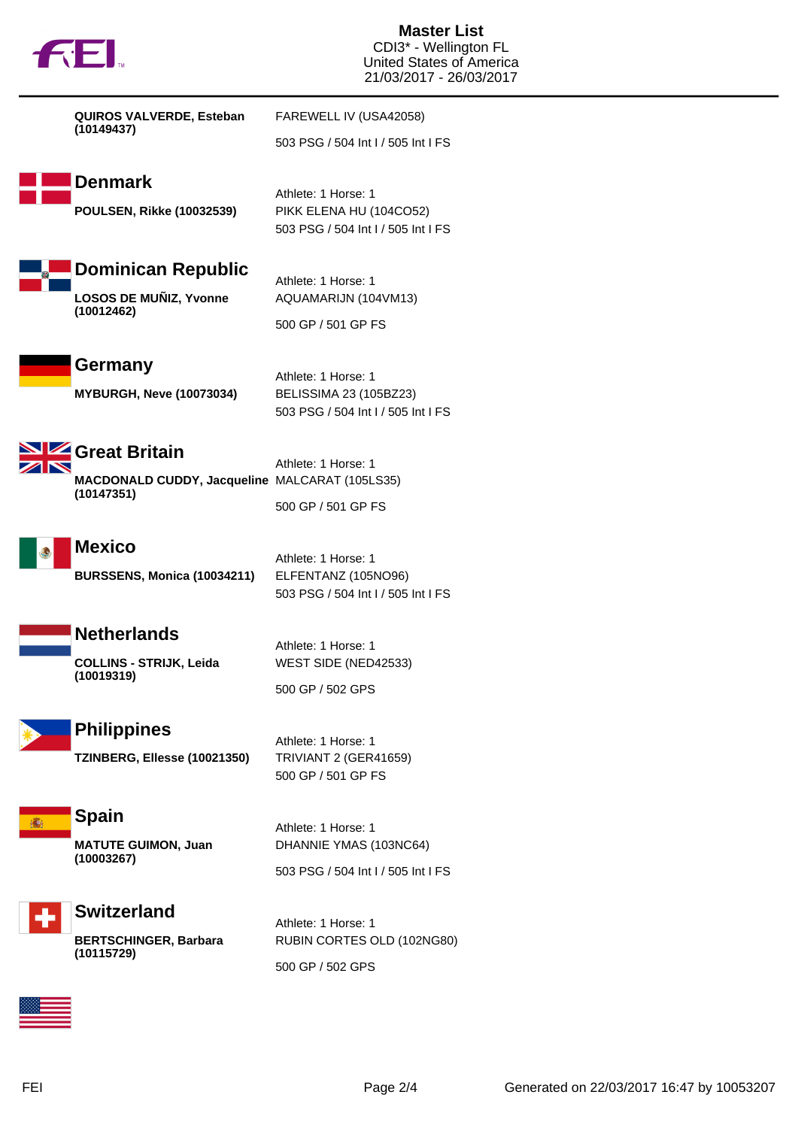|  | <b>TM</b> |
|--|-----------|

**Master List** CDI3\* - Wellington FL United States of America 21/03/2017 - 26/03/2017

| QUIROS VALVERDE, Esteban                                                      | FAREWELL IV (USA42058)                                                               |
|-------------------------------------------------------------------------------|--------------------------------------------------------------------------------------|
| (10149437)                                                                    | 503 PSG / 504 Int I / 505 Int I FS                                                   |
| <b>Denmark</b><br><b>POULSEN, Rikke (10032539)</b>                            | Athlete: 1 Horse: 1<br>PIKK ELENA HU (104CO52)<br>503 PSG / 504 Int I / 505 Int I FS |
| <b>Dominican Republic</b><br>LOSOS DE MUÑIZ, Yvonne<br>(10012462)             | Athlete: 1 Horse: 1<br>AQUAMARIJN (104VM13)<br>500 GP / 501 GP FS                    |
| Germany<br><b>MYBURGH, Neve (10073034)</b>                                    | Athlete: 1 Horse: 1<br>BELISSIMA 23 (105BZ23)<br>503 PSG / 504 Int I / 505 Int I FS  |
| Great Britain<br>MACDONALD CUDDY, Jacqueline MALCARAT (105LS35)<br>(10147351) | Athlete: 1 Horse: 1<br>500 GP / 501 GP FS                                            |
| <b>Mexico</b><br><b>BURSSENS, Monica (10034211)</b>                           | Athlete: 1 Horse: 1<br>ELFENTANZ (105NO96)<br>503 PSG / 504 Int I / 505 Int I FS     |
| <b>Netherlands</b><br><b>COLLINS - STRIJK, Leida</b><br>(10019319)            | Athlete: 1 Horse: 1<br>WEST SIDE (NED42533)<br>500 GP / 502 GPS                      |
| <b>Philippines</b><br>TZINBERG, Ellesse (10021350)                            | Athlete: 1 Horse: 1<br>TRIVIANT 2 (GER41659)<br>500 GP / 501 GP FS                   |
| <b>Spain</b><br><b>MATUTE GUIMON, Juan</b><br>(10003267)                      | Athlete: 1 Horse: 1<br>DHANNIE YMAS (103NC64)<br>503 PSG / 504 Int I / 505 Int I FS  |
| Switzerland                                                                   |                                                                                      |



**Switzerland BERTSCHINGER, Barbara (10115729)**

Athlete: 1 Horse: 1 RUBIN CORTES OLD (102NG80) 500 GP / 502 GPS

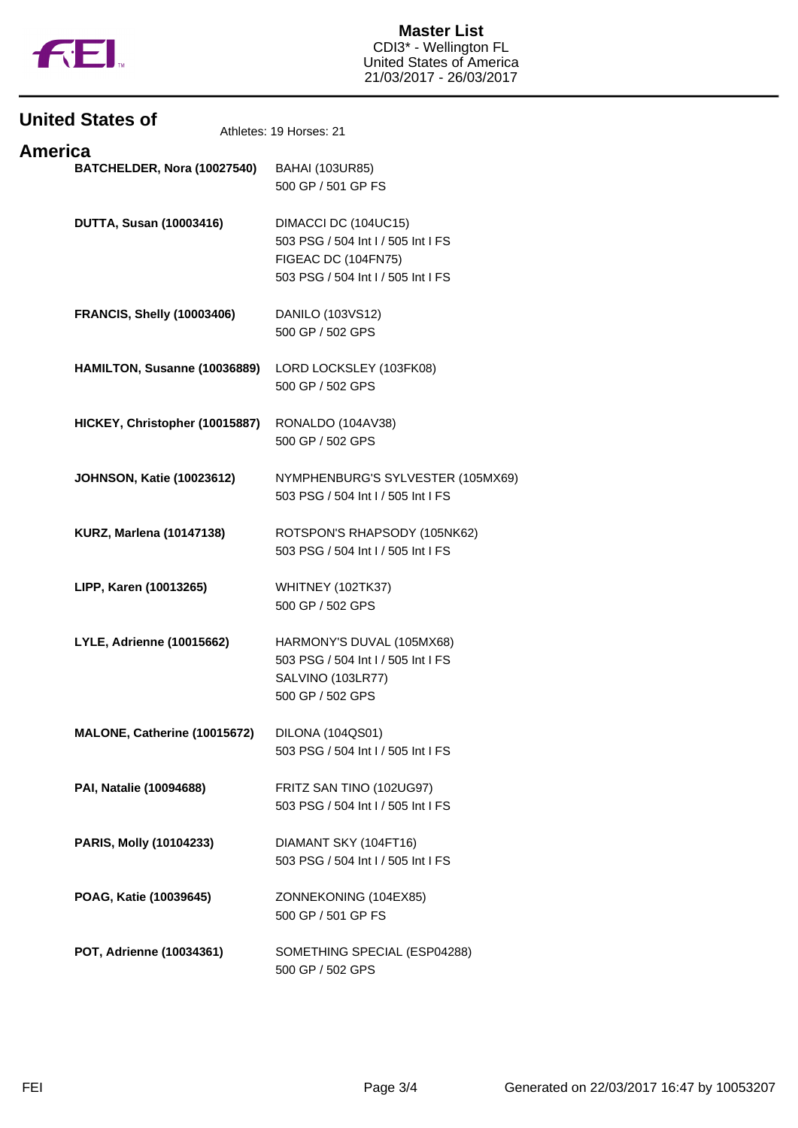

| <b>United States of</b>           | Athletes: 19 Horses: 21                                                                                                 |
|-----------------------------------|-------------------------------------------------------------------------------------------------------------------------|
| <b>America</b>                    |                                                                                                                         |
| BATCHELDER, Nora (10027540)       | <b>BAHAI (103UR85)</b><br>500 GP / 501 GP FS                                                                            |
| <b>DUTTA, Susan (10003416)</b>    | DIMACCI DC (104UC15)<br>503 PSG / 504 Int I / 505 Int I FS<br>FIGEAC DC (104FN75)<br>503 PSG / 504 Int I / 505 Int I FS |
| <b>FRANCIS, Shelly (10003406)</b> | DANILO (103VS12)<br>500 GP / 502 GPS                                                                                    |
| HAMILTON, Susanne (10036889)      | LORD LOCKSLEY (103FK08)<br>500 GP / 502 GPS                                                                             |
| HICKEY, Christopher (10015887)    | RONALDO (104AV38)<br>500 GP / 502 GPS                                                                                   |
| <b>JOHNSON, Katie (10023612)</b>  | NYMPHENBURG'S SYLVESTER (105MX69)<br>503 PSG / 504 Int I / 505 Int I FS                                                 |
| <b>KURZ, Marlena (10147138)</b>   | ROTSPON'S RHAPSODY (105NK62)<br>503 PSG / 504 Int I / 505 Int I FS                                                      |
| LIPP, Karen (10013265)            | WHITNEY (102TK37)<br>500 GP / 502 GPS                                                                                   |
| <b>LYLE, Adrienne (10015662)</b>  | HARMONY'S DUVAL (105MX68)<br>503 PSG / 504 Int I / 505 Int I FS<br>SALVINO (103LR77)<br>500 GP / 502 GPS                |
| MALONE, Catherine (10015672)      | DILONA (104QS01)<br>503 PSG / 504 Int I / 505 Int I FS                                                                  |
| PAI, Natalie (10094688)           | FRITZ SAN TINO (102UG97)<br>503 PSG / 504 Int I / 505 Int I FS                                                          |
| PARIS, Molly (10104233)           | DIAMANT SKY (104FT16)<br>503 PSG / 504 Int I / 505 Int I FS                                                             |
| POAG, Katie (10039645)            | ZONNEKONING (104EX85)<br>500 GP / 501 GP FS                                                                             |
| POT, Adrienne (10034361)          | SOMETHING SPECIAL (ESP04288)<br>500 GP / 502 GPS                                                                        |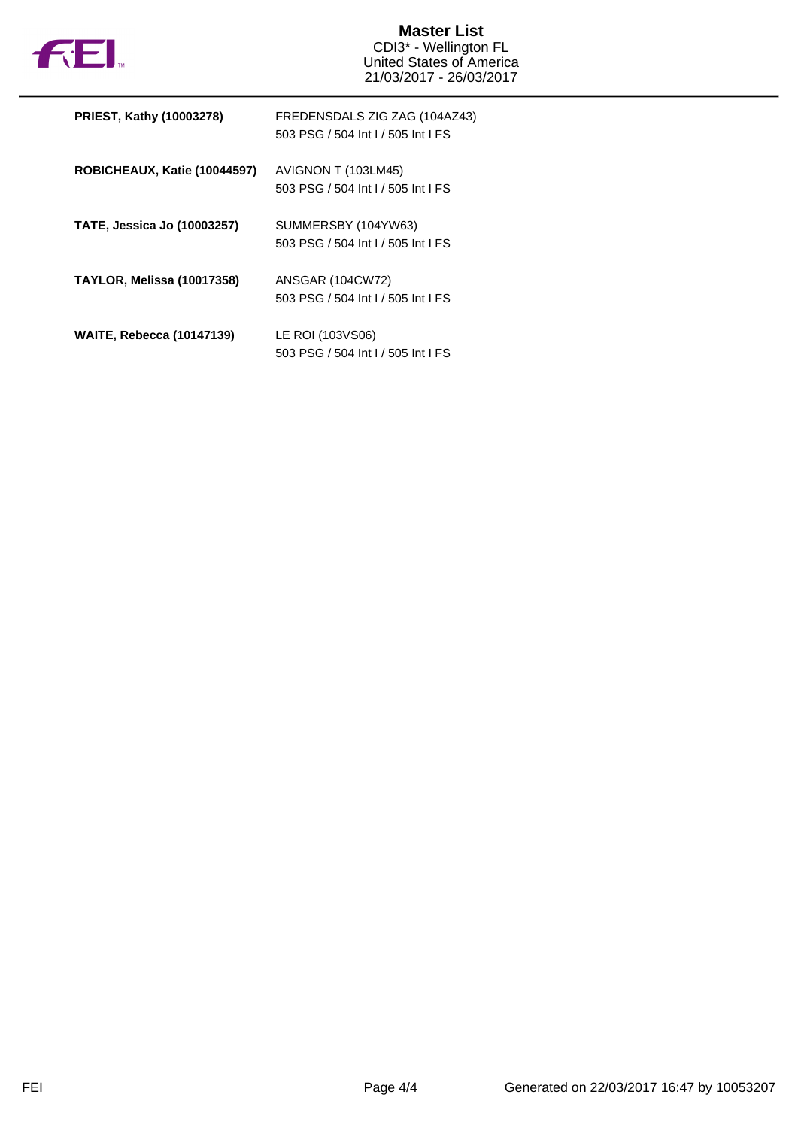

## **Master List** CDI3\* - Wellington FL United States of America 21/03/2017 - 26/03/2017

| <b>PRIEST, Kathy (10003278)</b>    | FREDENSDALS ZIG ZAG (104AZ43)<br>503 PSG / 504 Int L/ 505 Int LFS |
|------------------------------------|-------------------------------------------------------------------|
| ROBICHEAUX, Katie (10044597)       | AVIGNON T (103LM45)<br>503 PSG / 504 Int I / 505 Int I FS         |
| <b>TATE, Jessica Jo (10003257)</b> | SUMMERSBY (104YW63)<br>503 PSG / 504 Int I / 505 Int I FS         |
| <b>TAYLOR, Melissa (10017358)</b>  | <b>ANSGAR (104CW72)</b><br>503 PSG / 504 Int I / 505 Int I FS     |
| <b>WAITE, Rebecca (10147139)</b>   | LE ROI (103VS06)<br>503 PSG / 504 Int I / 505 Int I FS            |